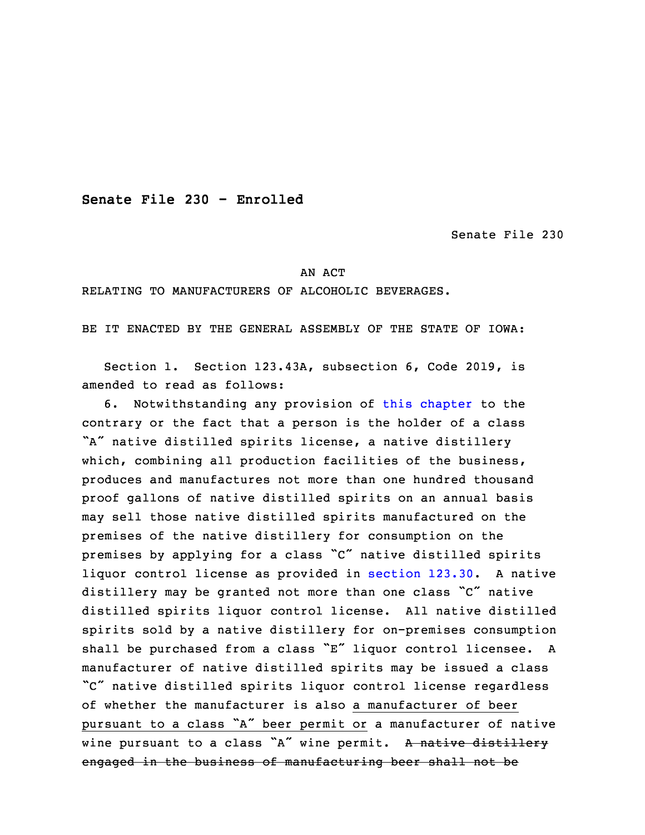**Senate File 230 - Enrolled**

Senate File 230

## AN ACT

## RELATING TO MANUFACTURERS OF ALCOHOLIC BEVERAGES.

BE IT ENACTED BY THE GENERAL ASSEMBLY OF THE STATE OF IOWA:

 Section 1. Section 123.43A, subsection 6, Code 2019, is amended to read as follows:

3 6. Notwithstanding any provision of this [chapter](https://www.legis.iowa.gov/docs/code/2019/123.pdf) to the contrary or the fact that <sup>a</sup> person is the holder of <sup>a</sup> class "A" native distilled spirits license, a native distillery which, combining all production facilities of the business, 7 produces and manufactures not more than one hundred thousand proof gallons of native distilled spirits on an annual basis may sell those native distilled spirits manufactured on the premises of the native distillery for consumption on the premises by applying for <sup>a</sup> class "C" native distilled spirits liquor control license as provided in [section](https://www.legis.iowa.gov/docs/code/2019/123.30.pdf) 123.30. <sup>A</sup> native distillery may be granted not more than one class "C" native distilled spirits liquor control license. All native distilled spirits sold by a native distillery for on-premises consumption shall be purchased from a class "E" liquor control licensee. A manufacturer of native distilled spirits may be issued a class "C" native distilled spirits liquor control license regardless of whether the manufacturer is also a manufacturer of beer pursuant to a class "A" beer permit or a manufacturer of native wine pursuant to a class "A" wine permit. A native distillery engaged in the business of manufacturing beer shall not be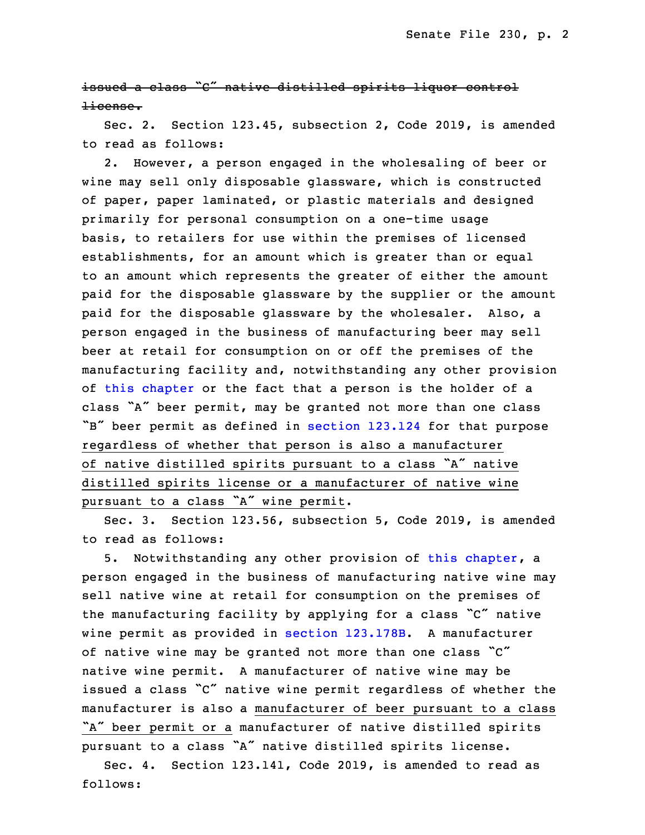issued a class "C" native distilled spirits liquor control license.

Sec. 2. Section 123.45, subsection 2, Code 2019, is amended to read as follows:

2. However, a person engaged in the wholesaling of beer or wine may sell only disposable glassware, which is constructed of paper, paper laminated, or plastic materials and designed primarily for personal consumption on a one-time usage basis, to retailers for use within the premises of licensed establishments, for an amount which is greater than or equal to an amount which represents the greater of either the amount paid for the disposable glassware by the supplier or the amount paid for the disposable glassware by the wholesaler. Also, a person engaged in the business of manufacturing beer may sell beer at retail for consumption on or off the premises of the manufacturing facility and, notwithstanding any other provision of this [chapter](https://www.legis.iowa.gov/docs/code/2019/123.pdf) or the fact that <sup>a</sup> person is the holder of <sup>a</sup> class "A" beer permit, may be granted not more than one class "B" beer permit as defined in [section](https://www.legis.iowa.gov/docs/code/2019/123.124.pdf) 123.124 for that purpose 7 regardless of whether that person is also <sup>a</sup> manufacturer of native distilled spirits pursuant to a class "A" native distilled spirits license or a manufacturer of native wine pursuant to a class "A" wine permit.

 Sec. 3. Section 123.56, subsection 5, Code 2019, is amended to read as follows:

5. Notwithstanding any other provision of this [chapter](https://www.legis.iowa.gov/docs/code/2019/123.pdf), a person engaged in the business of manufacturing native wine may sell native wine at retail for consumption on the premises of the manufacturing facility by applying for a class "C" native wine permit as provided in section [123.178B](https://www.legis.iowa.gov/docs/code/2019/123.178B.pdf). A manufacturer of native wine may be granted not more than one class "C" native wine permit. A manufacturer of native wine may be issued a class "C" native wine permit regardless of whether the manufacturer is also <sup>a</sup> manufacturer of beer pursuant to <sup>a</sup> class "A" beer permit or <sup>a</sup> manufacturer of native distilled spirits pursuant to a class "A" native distilled spirits license.

 Sec. 4. Section 123.141, Code 2019, is amended to read as follows: